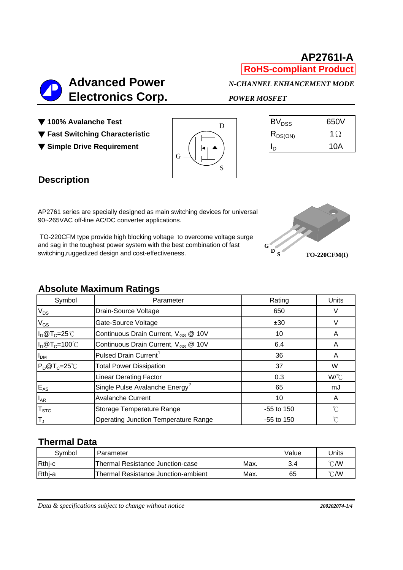# **AP2761I-A RoHS-compliant Product**

 **Advanced Power** *N-CHANNEL ENHANCEMENT MODE*  **Electronics Corp.** *POWER MOSFET*

- ▼ 100% Avalanche Test
- ▼ **Fast Switching Characteristic** RDS(ON) 1Ω
- ▼ Simple Drive Requirement



| 650V |
|------|
| 1()  |
| 10A  |
|      |

# **Description**

AP2761 series are specially designed as main switching devices for universal 90~265VAC off-line AC/DC converter applications.

 TO-220CFM type provide high blocking voltage to overcome voltage surge and sag in the toughest power system with the best combination of fast switching,ruggedized design and cost-effectiveness.



#### **Absolute Maximum Ratings**

| Symbol                    | Parameter                                       | Rating       | Units                |
|---------------------------|-------------------------------------------------|--------------|----------------------|
| $V_{DS}$                  | Drain-Source Voltage                            | 650          | V                    |
| $\rm V_{GS}$              | Gate-Source Voltage                             | ±30          |                      |
| $I_D@T_C=25°C$            | Continuous Drain Current, V <sub>GS</sub> @ 10V | 10           | A                    |
| $I_D@T_C=100°C$           | Continuous Drain Current, V <sub>GS</sub> @ 10V | 6.4          | A                    |
| $I_{DM}$                  | Pulsed Drain Current <sup>1</sup>               | 36           | A                    |
| $P_D@T_C=25°C$            | <b>Total Power Dissipation</b>                  | 37           | W                    |
|                           | <b>Linear Derating Factor</b>                   | 0.3          | W/°C                 |
| $E_{AS}$                  | Single Pulse Avalanche Energy <sup>2</sup>      | 65           | mJ                   |
| $I_{AR}$                  | <b>Avalanche Current</b>                        | 10           | A                    |
| $\mathsf{T}_{\text{STG}}$ | Storage Temperature Range                       | -55 to 150   | $^{\circ}C$          |
| T」                        | <b>Operating Junction Temperature Range</b>     | $-55$ to 150 | $\mathrm{C}^{\circ}$ |

### **Thermal Data**

| Svmbol | Parameter                           |      | Value | Units          |
|--------|-------------------------------------|------|-------|----------------|
| Rthj-c | Thermal Resistance Junction-case    | Max. | 3.4   | $^{\circ}$ C/W |
| Rthj-a | Thermal Resistance Junction-ambient | Max. | 65    | $^{\circ}$ C/W |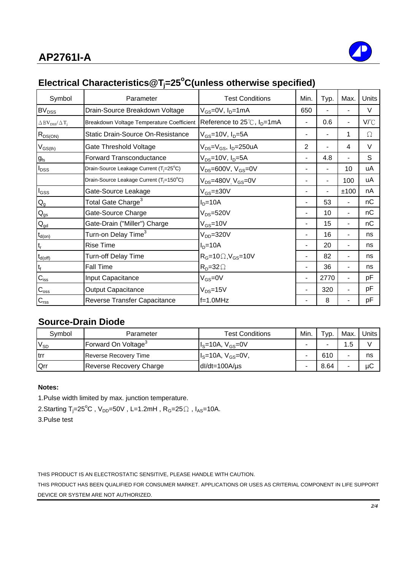

# **Electrical Characteristics@Tj =25o C(unless otherwise specified)**

| Symbol                                               | Parameter                                            | <b>Test Conditions</b>                             | Min.           | Typ. | Max. | Units |
|------------------------------------------------------|------------------------------------------------------|----------------------------------------------------|----------------|------|------|-------|
| BV <sub>DSS</sub>                                    | Drain-Source Breakdown Voltage                       | $V_{GS}$ =0V, $I_D$ =1mA                           | 650            |      |      | V     |
| $\Delta$ BV <sub>DSS</sub> / $\Delta$ T <sub>j</sub> | Breakdown Voltage Temperature Coefficient            | Reference to $25^{\circ}$ C, $I_{D} = 1 \text{mA}$ |                | 0.6  | ۰    | V/°C  |
| $R_{DS(ON)}$                                         | Static Drain-Source On-Resistance                    | $V_{GS}$ =10V, $I_D$ =5A                           |                |      | 1    | Ω     |
| $V_{GS(th)}$                                         | Gate Threshold Voltage                               | $V_{DS} = V_{GS}$ , I <sub>D</sub> =250uA          | $\overline{2}$ |      | 4    | V     |
| $g_{fs}$                                             | Forward Transconductance                             | $V_{DS}$ =10V, $I_D$ =5A                           |                | 4.8  |      | S     |
| $I_{DSS}$                                            | Drain-Source Leakage Current (T <sub>i</sub> =25°C)  | $V_{DS}$ =600V, $V_{GS}$ =0V                       |                |      | 10   | uA    |
|                                                      | Drain-Source Leakage Current (T <sub>i</sub> =150°C) | $V_{DS}$ =480V $V_{GS}$ =0V                        |                |      | 100  | uA    |
| $I_{GSS}$                                            | Gate-Source Leakage                                  | $V_{GS} = \pm 30V$                                 |                |      | ±100 | nA    |
| $\mathsf{Q}_{\mathsf{g}}$                            | Total Gate Charge <sup>3</sup>                       | $ID=10A$                                           |                | 53   | ۰.   | nC    |
| $Q_{gs}$                                             | Gate-Source Charge                                   | $V_{DS} = 520V$                                    |                | 10   | ۰.   | nC    |
| $Q_{\text{gd}}$                                      | Gate-Drain ("Miller") Charge                         | $V_{GS}$ =10V                                      |                | 15   | Ξ.   | nC    |
| $t_{d(on)}$                                          | Turn-on Delay Time <sup>3</sup>                      | $V_{DD} = 320V$                                    |                | 16   |      | ns    |
| $t_{\sf r}$                                          | <b>Rise Time</b>                                     | $ID=10A$                                           |                | 20   |      | ns    |
| $t_{d(\text{off})}$                                  | <b>Turn-off Delay Time</b>                           | $R_G=10 \Omega$ , $V_{GS}=10 V$                    |                | 82   |      | ns    |
| $t_f$                                                | Fall Time                                            | $R_D = 32 \Omega$                                  |                | 36   |      | ns    |
| $C_{iss}$                                            | Input Capacitance                                    | $V_{GS} = 0V$                                      |                | 2770 | ۰.   | рF    |
| $\mathsf{C}_{\mathrm{oss}}$                          | <b>Output Capacitance</b>                            | $V_{DS} = 15V$                                     |                | 320  |      | рF    |
| $C_{\text{rss}}$                                     | Reverse Transfer Capacitance                         | $f=1.0$ MHz                                        |                | 8    |      | рF    |

# **Source-Drain Diode**

| Symbol   | Parameter                       | <b>Test Conditions</b> | Min. | Typ. | Max. | Units |
|----------|---------------------------------|------------------------|------|------|------|-------|
| $V_{SD}$ | Forward On Voltage <sup>3</sup> | $IS=10A, VGS=0V$       |      |      | . 5  |       |
| Itrr     | <b>Reverse Recovery Time</b>    | $Is=10A, VGS=0V,$      | -    | 610  |      | ns    |
| Qrr      | Reverse Recovery Charge         | $dl/dt = 100A/\mu s$   |      | 8.64 |      | μC    |

#### **Notes:**

1.Pulse width limited by max. junction temperature.

2.Starting T<sub>j</sub>=25<sup>°</sup>C , V<sub>DD</sub>=50V , L=1.2mH , R<sub>G</sub>=25  $\Omega$  , I<sub>AS</sub>=10A.

3.Pulse test

THIS PRODUCT IS AN ELECTROSTATIC SENSITIVE, PLEASE HANDLE WITH CAUTION.

DEVICE OR SYSTEM ARE NOT AUTHORIZED. THIS PRODUCT HAS BEEN QUALIFIED FOR CONSUMER MARKET. APPLICATIONS OR USES AS CRITERIAL COMPONENT IN LIFE SUPPORT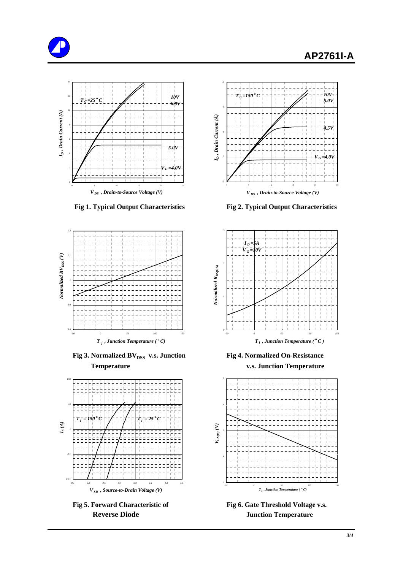





**Fig 3. Normalized BV**<sub>DSS</sub> v.s. Junction Fig 4. Normalized On-Resistance  **Temperature v.s. Junction Temperature**





 **Fig 1. Typical Output Characteristics Fig 2. Typical Output Characteristics**





Fig 5. Forward Characteristic of Fig 6. Gate Threshold Voltage v.s. **Reverse Diode Serverse Diode Access** Junction Temperature